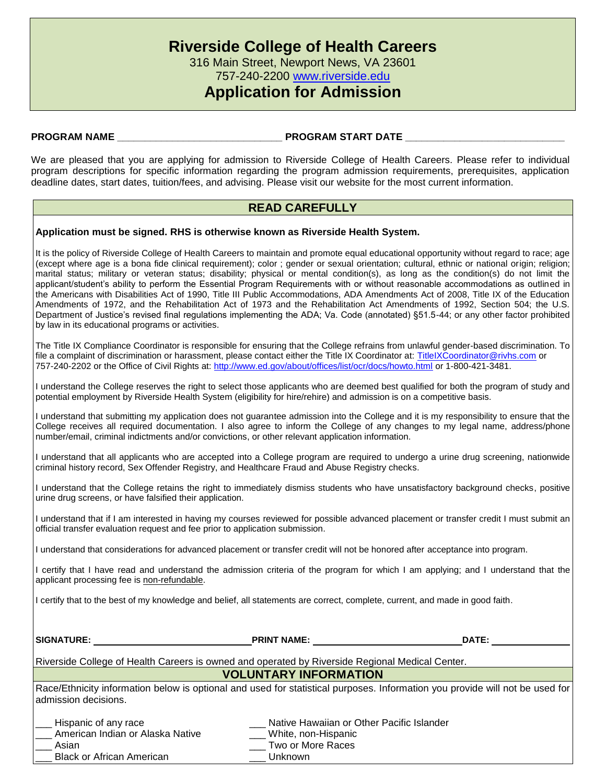757-240-2200 [www.riverside.edu](http://www.riverside.edu/)

## **Application for Admission**

### **PROGRAM NAME \_\_\_\_\_\_\_\_\_\_\_\_\_\_\_\_\_\_\_\_\_\_\_\_\_\_\_\_\_\_ PROGRAM START DATE \_\_\_\_\_\_\_\_\_\_\_\_\_\_\_\_\_\_\_\_\_\_\_\_\_\_\_\_\_**

We are pleased that you are applying for admission to Riverside College of Health Careers. Please refer to individual program descriptions for specific information regarding the program admission requirements, prerequisites, application deadline dates, start dates, tuition/fees, and advising. Please visit our website for the most current information.

## **READ CAREFULLY**

**Application must be signed. RHS is otherwise known as Riverside Health System.**

It is the policy of Riverside College of Health Careers to maintain and promote equal educational opportunity without regard to race; age (except where age is a bona fide clinical requirement); color ; gender or sexual orientation; cultural, ethnic or national origin; religion; marital status; military or veteran status; disability; physical or mental condition(s), as long as the condition(s) do not limit the applicant/student's ability to perform the Essential Program Requirements with or without reasonable accommodations as outlined in the Americans with Disabilities Act of 1990, Title III Public Accommodations, ADA Amendments Act of 2008, Title IX of the Education Amendments of 1972, and the Rehabilitation Act of 1973 and the Rehabilitation Act Amendments of 1992, Section 504; the U.S. Department of Justice's revised final regulations implementing the ADA; Va. Code (annotated) §51.5-44; or any other factor prohibited by law in its educational programs or activities.

The Title IX Compliance Coordinator is responsible for ensuring that the College refrains from unlawful gender-based discrimination. To file a complaint of discrimination or harassment, please contact either the Title IX Coordinator at: [TitleIXCoordinator@rivhs.com](mailto:TitleIXCoordinator@rivhs.com) or 757-240-2202 or the Office of Civil Rights at:<http://www.ed.gov/about/offices/list/ocr/docs/howto.html> or 1-800-421-3481.

I understand the College reserves the right to select those applicants who are deemed best qualified for both the program of study and potential employment by Riverside Health System (eligibility for hire/rehire) and admission is on a competitive basis.

I understand that submitting my application does not guarantee admission into the College and it is my responsibility to ensure that the College receives all required documentation. I also agree to inform the College of any changes to my legal name, address/phone number/email, criminal indictments and/or convictions, or other relevant application information.

I understand that all applicants who are accepted into a College program are required to undergo a urine drug screening, nationwide criminal history record, Sex Offender Registry, and Healthcare Fraud and Abuse Registry checks.

I understand that the College retains the right to immediately dismiss students who have unsatisfactory background checks, positive urine drug screens, or have falsified their application.

I understand that if I am interested in having my courses reviewed for possible advanced placement or transfer credit I must submit an official transfer evaluation request and fee prior to application submission.

I understand that considerations for advanced placement or transfer credit will not be honored after acceptance into program.

I certify that I have read and understand the admission criteria of the program for which I am applying; and I understand that the applicant processing fee is non-refundable.

I certify that to the best of my knowledge and belief, all statements are correct, complete, current, and made in good faith.

| <b>SIGNATURE:</b>                                                                                     | <b>PRINT NAME:</b>                                                                               | <b>DATE:</b>                                                                                                                 |
|-------------------------------------------------------------------------------------------------------|--------------------------------------------------------------------------------------------------|------------------------------------------------------------------------------------------------------------------------------|
| Riverside College of Health Careers is owned and operated by Riverside Regional Medical Center.       |                                                                                                  |                                                                                                                              |
|                                                                                                       | <b>VOLUNTARY INFORMATION</b>                                                                     |                                                                                                                              |
| admission decisions.                                                                                  |                                                                                                  | Race/Ethnicity information below is optional and used for statistical purposes. Information you provide will not be used for |
| Hispanic of any race<br>American Indian or Alaska Native<br>Asian<br><b>Black or African American</b> | Native Hawaiian or Other Pacific Islander<br>White, non-Hispanic<br>Two or More Races<br>Unknown |                                                                                                                              |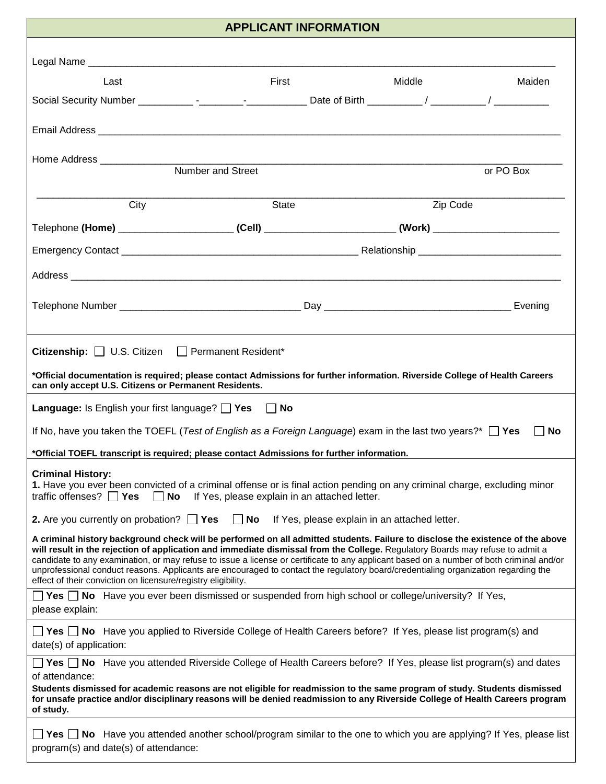| <b>APPLICANT INFORMATION</b>                                                                                                                                                                                                                                                                                                                                                                                                                                                                                                                                                                                       |       |          |           |  |
|--------------------------------------------------------------------------------------------------------------------------------------------------------------------------------------------------------------------------------------------------------------------------------------------------------------------------------------------------------------------------------------------------------------------------------------------------------------------------------------------------------------------------------------------------------------------------------------------------------------------|-------|----------|-----------|--|
|                                                                                                                                                                                                                                                                                                                                                                                                                                                                                                                                                                                                                    |       |          |           |  |
| Last                                                                                                                                                                                                                                                                                                                                                                                                                                                                                                                                                                                                               | First | Middle   | Maiden    |  |
|                                                                                                                                                                                                                                                                                                                                                                                                                                                                                                                                                                                                                    |       |          |           |  |
|                                                                                                                                                                                                                                                                                                                                                                                                                                                                                                                                                                                                                    |       |          |           |  |
|                                                                                                                                                                                                                                                                                                                                                                                                                                                                                                                                                                                                                    |       |          |           |  |
|                                                                                                                                                                                                                                                                                                                                                                                                                                                                                                                                                                                                                    |       |          | or PO Box |  |
|                                                                                                                                                                                                                                                                                                                                                                                                                                                                                                                                                                                                                    |       |          |           |  |
| City                                                                                                                                                                                                                                                                                                                                                                                                                                                                                                                                                                                                               | State | Zip Code |           |  |
| Telephone (Home) ____________________________(Cell) ____________________________(Work) _______________________                                                                                                                                                                                                                                                                                                                                                                                                                                                                                                     |       |          |           |  |
|                                                                                                                                                                                                                                                                                                                                                                                                                                                                                                                                                                                                                    |       |          |           |  |
|                                                                                                                                                                                                                                                                                                                                                                                                                                                                                                                                                                                                                    |       |          |           |  |
|                                                                                                                                                                                                                                                                                                                                                                                                                                                                                                                                                                                                                    |       |          |           |  |
|                                                                                                                                                                                                                                                                                                                                                                                                                                                                                                                                                                                                                    |       |          |           |  |
| <b>Citizenship:</b> U.S. Citizen Permanent Resident*                                                                                                                                                                                                                                                                                                                                                                                                                                                                                                                                                               |       |          |           |  |
| *Official documentation is required; please contact Admissions for further information. Riverside College of Health Careers                                                                                                                                                                                                                                                                                                                                                                                                                                                                                        |       |          |           |  |
| can only accept U.S. Citizens or Permanent Residents.                                                                                                                                                                                                                                                                                                                                                                                                                                                                                                                                                              |       |          |           |  |
| <b>Language:</b> Is English your first language? $\Box$ Yes $\Box$<br>No                                                                                                                                                                                                                                                                                                                                                                                                                                                                                                                                           |       |          |           |  |
| If No, have you taken the TOEFL ( <i>Test of English as a Foreign Language</i> ) exam in the last two years?* $\Box$ Yes<br>l INo                                                                                                                                                                                                                                                                                                                                                                                                                                                                                  |       |          |           |  |
| *Official TOEFL transcript is required; please contact Admissions for further information.                                                                                                                                                                                                                                                                                                                                                                                                                                                                                                                         |       |          |           |  |
| <b>Criminal History:</b><br>1. Have you ever been convicted of a criminal offense or is final action pending on any criminal charge, excluding minor<br>traffic offenses? $\Box$ Yes<br>If Yes, please explain in an attached letter.<br><b>No</b>                                                                                                                                                                                                                                                                                                                                                                 |       |          |           |  |
| 2. Are you currently on probation? $\Box$ Yes<br>$\Box$ No<br>If Yes, please explain in an attached letter.                                                                                                                                                                                                                                                                                                                                                                                                                                                                                                        |       |          |           |  |
| A criminal history background check will be performed on all admitted students. Failure to disclose the existence of the above<br>will result in the rejection of application and immediate dismissal from the College. Regulatory Boards may refuse to admit a<br>candidate to any examination, or may refuse to issue a license or certificate to any applicant based on a number of both criminal and/or<br>unprofessional conduct reasons. Applicants are encouraged to contact the regulatory board/credentialing organization regarding the<br>effect of their conviction on licensure/registry eligibility. |       |          |           |  |
| <b>T</b> Yes $\Box$ No Have you ever been dismissed or suspended from high school or college/university? If Yes,<br>please explain:                                                                                                                                                                                                                                                                                                                                                                                                                                                                                |       |          |           |  |
| <b>T</b> Yes <b>T</b> No Have you applied to Riverside College of Health Careers before? If Yes, please list program(s) and<br>date(s) of application:                                                                                                                                                                                                                                                                                                                                                                                                                                                             |       |          |           |  |
| <b>T</b> Yes <b>T</b> No Have you attended Riverside College of Health Careers before? If Yes, please list program(s) and dates                                                                                                                                                                                                                                                                                                                                                                                                                                                                                    |       |          |           |  |
| of attendance:<br>Students dismissed for academic reasons are not eligible for readmission to the same program of study. Students dismissed<br>for unsafe practice and/or disciplinary reasons will be denied readmission to any Riverside College of Health Careers program<br>of study.                                                                                                                                                                                                                                                                                                                          |       |          |           |  |
| <b>T</b> Yes $\Box$ No Have you attended another school/program similar to the one to which you are applying? If Yes, please list<br>program(s) and date(s) of attendance:                                                                                                                                                                                                                                                                                                                                                                                                                                         |       |          |           |  |